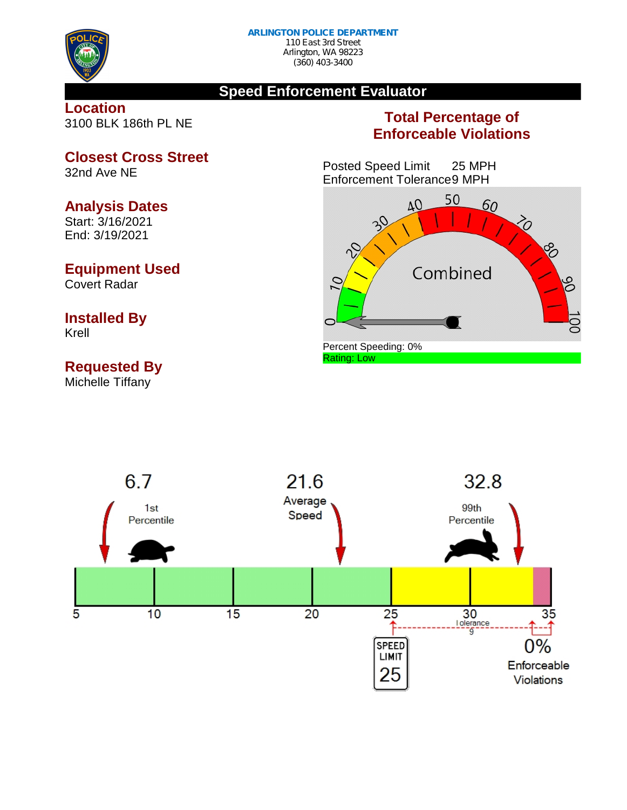

#### **Speed Enforcement Evaluator**

#### **Location** 3100 BLK 186th PL NE

### **Total Percentage of Enforceable Violations**

Posted Speed Limit 25 MPH Enforcement Tolerance9 MPH





**Closest Cross Street** 32nd Ave NE

#### **Analysis Dates**

Start: 3/16/2021 End: 3/19/2021

#### **Equipment Used**

Covert Radar

# **Installed By**

Krell

## **Requested By**

Michelle Tiffany